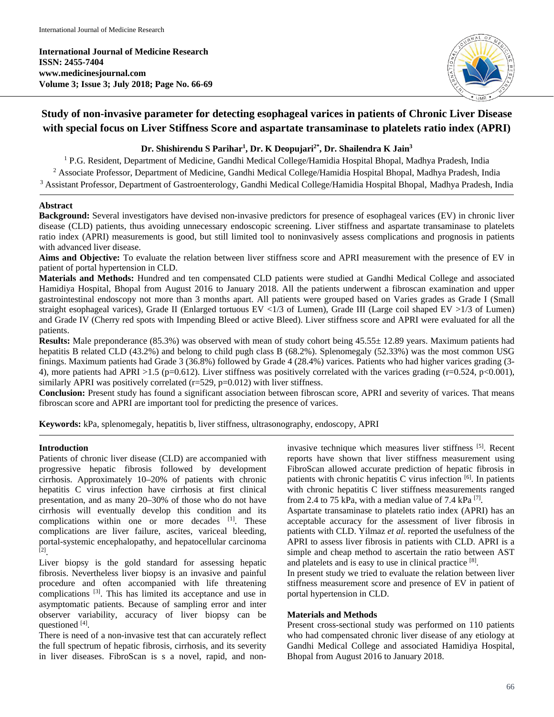**International Journal of Medicine Research ISSN: 2455-7404 www.medicinesjournal.com Volume 3; Issue 3; July 2018; Page No. 66-69**



# **Study of non-invasive parameter for detecting esophageal varices in patients of Chronic Liver Disease with special focus on Liver Stiffness Score and aspartate transaminase to platelets ratio index (APRI)**

# **Dr. Shishirendu S Parihar1 , Dr. K Deopujari2\*, Dr. Shailendra K Jain3**

<sup>1</sup> P.G. Resident, Department of Medicine, Gandhi Medical College/Hamidia Hospital Bhopal, Madhya Pradesh, India <sup>2</sup> Associate Professor, Department of Medicine, Gandhi Medical College/Hamidia Hospital Bhopal, Madhya Pradesh, India <sup>3</sup> Assistant Professor, Department of Gastroenterology, Gandhi Medical College/Hamidia Hospital Bhopal, Madhya Pradesh, India

#### **Abstract**

**Background:** Several investigators have devised non-invasive predictors for presence of esophageal varices (EV) in chronic liver disease (CLD) patients, thus avoiding unnecessary endoscopic screening. Liver stiffness and aspartate transaminase to platelets ratio index (APRI) measurements is good, but still limited tool to noninvasively assess complications and prognosis in patients with advanced liver disease.

**Aims and Objective:** To evaluate the relation between liver stiffness score and APRI measurement with the presence of EV in patient of portal hypertension in CLD.

**Materials and Methods:** Hundred and ten compensated CLD patients were studied at Gandhi Medical College and associated Hamidiya Hospital, Bhopal from August 2016 to January 2018. All the patients underwent a fibroscan examination and upper gastrointestinal endoscopy not more than 3 months apart. All patients were grouped based on Varies grades as Grade I (Small straight esophageal varices), Grade II (Enlarged tortuous EV <1/3 of Lumen), Grade III (Large coil shaped EV >1/3 of Lumen) and Grade IV (Cherry red spots with Impending Bleed or active Bleed). Liver stiffness score and APRI were evaluated for all the patients.

**Results:** Male preponderance (85.3%) was observed with mean of study cohort being 45.55± 12.89 years. Maximum patients had hepatitis B related CLD (43.2%) and belong to child pugh class B (68.2%). Splenomegaly (52.33%) was the most common USG finings. Maximum patients had Grade 3 (36.8%) followed by Grade 4 (28.4%) varices. Patients who had higher varices grading (3- 4), more patients had APRI >1.5 (p=0.612). Liver stiffness was positively correlated with the varices grading (r=0.524, p<0.001), similarly APRI was positively correlated  $(r=529, p=0.012)$  with liver stiffness.

**Conclusion:** Present study has found a significant association between fibroscan score, APRI and severity of varices. That means fibroscan score and APRI are important tool for predicting the presence of varices.

**Keywords:** kPa, splenomegaly, hepatitis b, liver stiffness, ultrasonography, endoscopy, APRI

# **Introduction**

Patients of chronic liver disease (CLD) are accompanied with progressive hepatic fibrosis followed by development cirrhosis. Approximately 10–20% of patients with chronic hepatitis C virus infection have cirrhosis at first clinical presentation, and as many 20–30% of those who do not have cirrhosis will eventually develop this condition and its complications within one or more decades [1]. These complications are liver failure, ascites, variceal bleeding, portal-systemic encephalopathy, and hepatocellular carcinoma [2] .

Liver biopsy is the gold standard for assessing hepatic fibrosis. Nevertheless liver biopsy is an invasive and painful procedure and often accompanied with life threatening complications <sup>[3]</sup>. This has limited its acceptance and use in asymptomatic patients. Because of sampling error and inter observer variability, accuracy of liver biopsy can be questioned [4].

There is need of a non-invasive test that can accurately reflect the full spectrum of hepatic fibrosis, cirrhosis, and its severity in liver diseases. FibroScan is s a novel, rapid, and non-

invasive technique which measures liver stiffness [5] . Recent reports have shown that liver stiffness measurement using FibroScan allowed accurate prediction of hepatic fibrosis in patients with chronic hepatitis  $C$  virus infection  $[6]$ . In patients with chronic hepatitis C liver stiffness measurements ranged from 2.4 to 75 kPa, with a median value of 7.4 kPa  $^{[7]}$ .

Aspartate transaminase to platelets ratio index (APRI) has an acceptable accuracy for the assessment of liver fibrosis in patients with CLD. Yilmaz *et al.* reported the usefulness of the APRI to assess liver fibrosis in patients with CLD. APRI is a simple and cheap method to ascertain the ratio between AST and platelets and is easy to use in clinical practice [8].

In present study we tried to evaluate the relation between liver stiffness measurement score and presence of EV in patient of portal hypertension in CLD.

# **Materials and Methods**

Present cross-sectional study was performed on 110 patients who had compensated chronic liver disease of any etiology at Gandhi Medical College and associated Hamidiya Hospital, Bhopal from August 2016 to January 2018.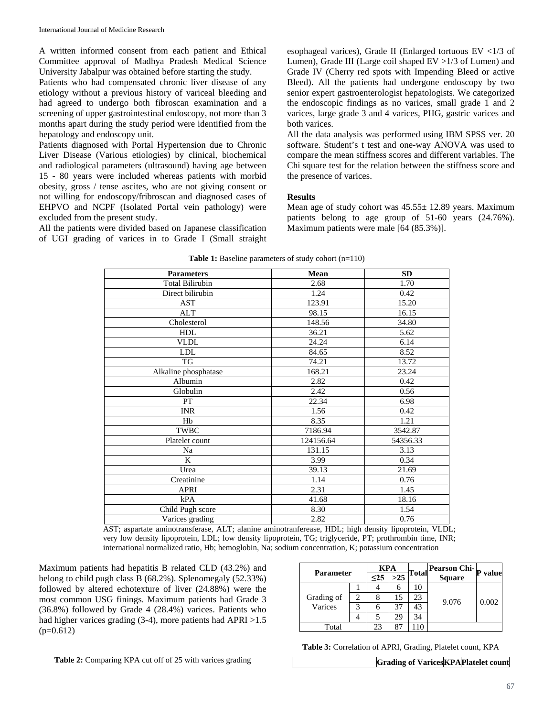A written informed consent from each patient and Ethical Committee approval of Madhya Pradesh Medical Science University Jabalpur was obtained before starting the study.

Patients who had compensated chronic liver disease of any etiology without a previous history of variceal bleeding and had agreed to undergo both fibroscan examination and a screening of upper gastrointestinal endoscopy, not more than 3 months apart during the study period were identified from the hepatology and endoscopy unit.

Patients diagnosed with Portal Hypertension due to Chronic Liver Disease (Various etiologies) by clinical, biochemical and radiological parameters (ultrasound) having age between 15 - 80 years were included whereas patients with morbid obesity, gross / tense ascites, who are not giving consent or not willing for endoscopy/fribroscan and diagnosed cases of EHPVO and NCPF (Isolated Portal vein pathology) were excluded from the present study.

All the patients were divided based on Japanese classification of UGI grading of varices in to Grade I (Small straight

esophageal varices), Grade II (Enlarged tortuous EV <1/3 of Lumen), Grade III (Large coil shaped EV >1/3 of Lumen) and Grade IV (Cherry red spots with Impending Bleed or active Bleed). All the patients had undergone endoscopy by two senior expert gastroenterologist hepatologists. We categorized the endoscopic findings as no varices, small grade 1 and 2 varices, large grade 3 and 4 varices, PHG, gastric varices and both varices.

All the data analysis was performed using IBM SPSS ver. 20 software. Student's t test and one-way ANOVA was used to compare the mean stiffness scores and different variables. The Chi square test for the relation between the stiffness score and the presence of varices.

#### **Results**

Mean age of study cohort was 45.55± 12.89 years. Maximum patients belong to age group of 51-60 years (24.76%). Maximum patients were male [64 (85.3%)].

| <b>Parameters</b>      | Mean      | SD       |  |  |  |  |
|------------------------|-----------|----------|--|--|--|--|
| <b>Total Bilirubin</b> | 2.68      | 1.70     |  |  |  |  |
| Direct bilirubin       | 1.24      | 0.42     |  |  |  |  |
| AST                    | 123.91    | 15.20    |  |  |  |  |
| ALT                    | 98.15     | 16.15    |  |  |  |  |
| Cholesterol            | 148.56    | 34.80    |  |  |  |  |
| <b>HDL</b>             | 36.21     | 5.62     |  |  |  |  |
| <b>VLDL</b>            | 24.24     | 6.14     |  |  |  |  |
| <b>LDL</b>             | 84.65     | 8.52     |  |  |  |  |
| TG                     | 74.21     | 13.72    |  |  |  |  |
| Alkaline phosphatase   | 168.21    | 23.24    |  |  |  |  |
| Albumin                | 2.82      | 0.42     |  |  |  |  |
| Globulin               | 2.42      | 0.56     |  |  |  |  |
| PT                     | 22.34     | 6.98     |  |  |  |  |
| <b>INR</b>             | 1.56      | 0.42     |  |  |  |  |
| Hb                     | 8.35      | 1.21     |  |  |  |  |
| TWBC                   | 7186.94   | 3542.87  |  |  |  |  |
| Platelet count         | 124156.64 | 54356.33 |  |  |  |  |
| Na                     | 131.15    | 3.13     |  |  |  |  |
| K                      | 3.99      | 0.34     |  |  |  |  |
| Urea                   | 39.13     | 21.69    |  |  |  |  |
| Creatinine             | 1.14      | 0.76     |  |  |  |  |
| <b>APRI</b>            | 2.31      | 1.45     |  |  |  |  |
| kPA                    | 41.68     | 18.16    |  |  |  |  |
| Child Pugh score       | 8.30      | 1.54     |  |  |  |  |
| Varices grading        | 2.82      | 0.76     |  |  |  |  |

**Table 1:** Baseline parameters of study cohort (n=110)

AST; aspartate aminotransferase, ALT; alanine aminotranferease, HDL; high density lipoprotein, VLDL; very low density lipoprotein, LDL; low density lipoprotein, TG; triglyceride, PT; prothrombin time, INR; international normalized ratio, Hb; hemoglobin, Na; sodium concentration, K; potassium concentration

Maximum patients had hepatitis B related CLD (43.2%) and belong to child pugh class B (68.2%). Splenomegaly (52.33%) followed by altered echotexture of liver (24.88%) were the most common USG finings. Maximum patients had Grade 3 (36.8%) followed by Grade 4 (28.4%) varices. Patients who had higher varices grading (3-4), more patients had APRI > 1.5  $(p=0.612)$ 

| <b>Parameter</b> |  | KPA  |       |    | Total Pearson Chi-p |       |
|------------------|--|------|-------|----|---------------------|-------|
|                  |  | $25$ | $>25$ |    | <b>Square</b>       | value |
|                  |  |      |       | 10 | 9.076               |       |
| Grading of       |  |      |       | 23 |                     | 0.002 |
| Varices          |  |      | 37    | 43 |                     |       |
|                  |  |      | 29    |    |                     |       |
| Total            |  | 23   |       |    |                     |       |

**Table 3:** Correlation of APRI, Grading, Platelet count, KPA

**Grading of VaricesKPAPlatelet count**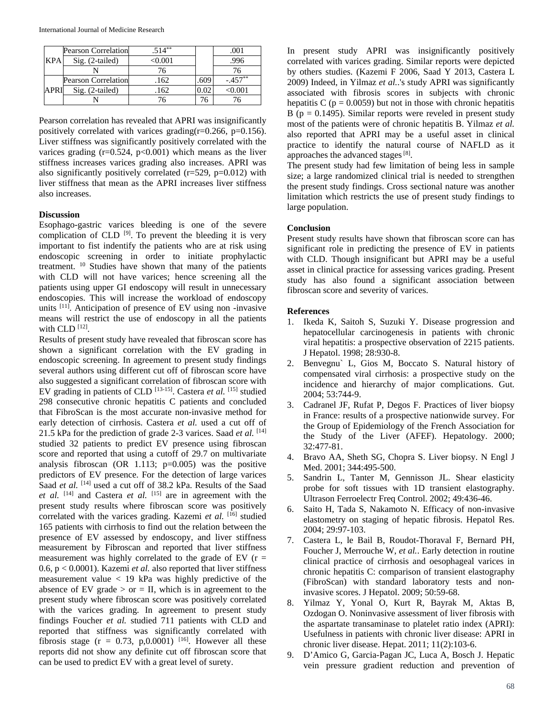| KPA  | <b>Pearson Correlation</b> | $.514***$ |      |           |
|------|----------------------------|-----------|------|-----------|
|      | $Sig. (2-tailed)$          | <0.001    |      | .996      |
|      |                            |           |      | 76        |
| APRI | <b>Pearson Correlation</b> | .162      | .609 | $-.457**$ |
|      | $Sig. (2-tailed)$          | .162      |      | <0.001    |
|      |                            |           | 6/   |           |

Pearson correlation has revealed that APRI was insignificantly positively correlated with varices grading( $r=0.266$ ,  $p=0.156$ ). Liver stiffness was significantly positively correlated with the varices grading  $(r=0.524, p<0.001)$  which means as the liver stiffness increases varices grading also increases. APRI was also significantly positively correlated  $(r=529, p=0.012)$  with liver stiffness that mean as the APRI increases liver stiffness also increases.

#### **Discussion**

Esophago-gastric varices bleeding is one of the severe complication of CLD  $[9]$ . To prevent the bleeding it is very important to fist indentify the patients who are at risk using endoscopic screening in order to initiate prophylactic treatment. 10 Studies have shown that many of the patients with CLD will not have varices; hence screening all the patients using upper GI endoscopy will result in unnecessary endoscopies. This will increase the workload of endoscopy units <sup>[11]</sup>. Anticipation of presence of EV using non -invasive means will restrict the use of endoscopy in all the patients with  $CLD$   $[12]$ .

Results of present study have revealed that fibroscan score has shown a significant correlation with the EV grading in endoscopic screening. In agreement to present study findings several authors using different cut off of fibroscan score have also suggested a significant correlation of fibroscan score with EV grading in patients of CLD<sup>[13-15]</sup>. Castera *et al.* <sup>[15]</sup> studied 298 consecutive chronic hepatitis C patients and concluded that FibroScan is the most accurate non-invasive method for early detection of cirrhosis. Castera *et al.* used a cut off of 21.5 kPa for the prediction of grade 2-3 varices. Saad *et al.* [14] studied 32 patients to predict EV presence using fibroscan score and reported that using a cutoff of 29.7 on multivariate analysis fibroscan (OR 1.113;  $p=0.005$ ) was the positive predictors of EV presence. For the detection of large varices Saad *et al.* <sup>[14]</sup> used a cut off of 38.2 kPa. Results of the Saad *et al.* [14] and Castera *et al.* [15] are in agreement with the present study results where fibroscan score was positively correlated with the varices grading. Kazemi et al. [16] studied 165 patients with cirrhosis to find out the relation between the presence of EV assessed by endoscopy, and liver stiffness measurement by Fibroscan and reported that liver stiffness measurement was highly correlated to the grade of EV  $(r =$ 0.6, p < 0.0001). Kazemi *et al.* also reported that liver stiffness measurement value  $<$  19 kPa was highly predictive of the absence of EV grade  $>$  or  $=$  II, which is in agreement to the present study where fibroscan score was positively correlated with the varices grading. In agreement to present study findings Foucher *et al.* studied 711 patients with CLD and reported that stiffness was significantly correlated with fibrosis stage ( $r = 0.73$ , p,0.0001) <sup>[16]</sup>. However all these reports did not show any definite cut off fibroscan score that can be used to predict EV with a great level of surety.

In present study APRI was insignificantly positively correlated with varices grading. Similar reports were depicted by others studies. (Kazemi F 2006, Saad Y 2013, Castera L 2009) Indeed, in Yilmaz *et al.*.'s study APRI was significantly associated with fibrosis scores in subjects with chronic hepatitis C ( $p = 0.0059$ ) but not in those with chronic hepatitis B ( $p = 0.1495$ ). Similar reports were reveled in present study most of the patients were of chronic hepatitis B. Yilmaz *et al.* also reported that APRI may be a useful asset in clinical practice to identify the natural course of NAFLD as it approaches the advanced stages<sup>[8]</sup>.

The present study had few limitation of being less in sample size; a large randomized clinical trial is needed to strengthen the present study findings. Cross sectional nature was another limitation which restricts the use of present study findings to large population.

## **Conclusion**

Present study results have shown that fibroscan score can has significant role in predicting the presence of EV in patients with CLD. Though insignificant but APRI may be a useful asset in clinical practice for assessing varices grading. Present study has also found a significant association between fibroscan score and severity of varices.

## **References**

- 1. Ikeda K, Saitoh S, Suzuki Y. Disease progression and hepatocellular carcinogenesis in patients with chronic viral hepatitis: a prospective observation of 2215 patients. J Hepatol. 1998; 28:930-8.
- 2. Benvegnu` L, Gios M, Boccato S. Natural history of compensated viral cirrhosis: a prospective study on the incidence and hierarchy of major complications. Gut. 2004; 53:744-9.
- 3. Cadranel JF, Rufat P, Degos F. Practices of liver biopsy in France: results of a prospective nationwide survey. For the Group of Epidemiology of the French Association for the Study of the Liver (AFEF). Hepatology. 2000; 32:477-81.
- 4. Bravo AA, Sheth SG, Chopra S. Liver biopsy. N Engl J Med. 2001; 344:495-500.
- 5. Sandrin L, Tanter M, Gennisson JL. Shear elasticity probe for soft tissues with 1D transient elastography. Ultrason Ferroelectr Freq Control. 2002; 49:436-46.
- 6. Saito H, Tada S, Nakamoto N. Efficacy of non-invasive elastometry on staging of hepatic fibrosis. Hepatol Res. 2004; 29:97-103.
- 7. Castera L, le Bail B, Roudot-Thoraval F, Bernard PH, Foucher J, Merrouche W, *et al.*. Early detection in routine clinical practice of cirrhosis and oesophageal varices in chronic hepatitis C: comparison of transient elastography (FibroScan) with standard laboratory tests and noninvasive scores. J Hepatol. 2009; 50:59-68.
- 8. Yilmaz Y, Yonal O, Kurt R, Bayrak M, Aktas B, Ozdogan O. Noninvasive assessment of liver fibrosis with the aspartate transaminase to platelet ratio index (APRI): Usefulness in patients with chronic liver disease: APRI in chronic liver disease. Hepat. 2011; 11(2):103-6.
- 9. D'Amico G, Garcia-Pagan JC, Luca A, Bosch J. Hepatic vein pressure gradient reduction and prevention of